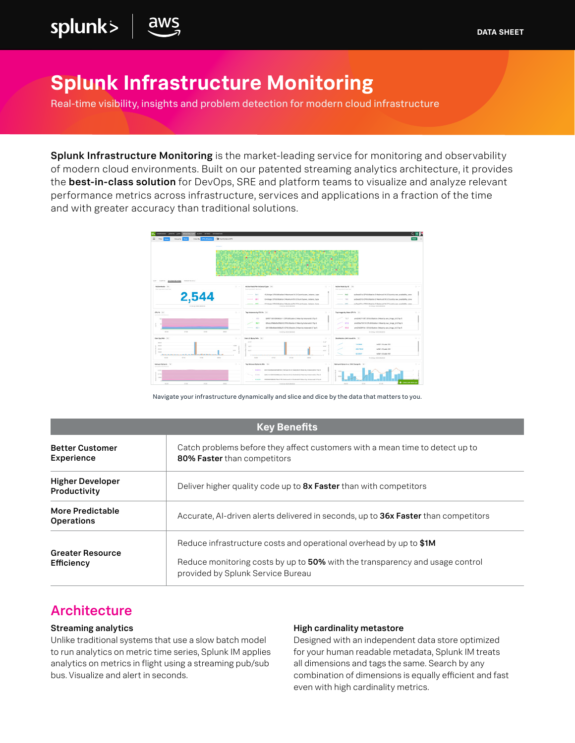# **Splunk Infrastructure Monitoring**

Real-time visibility, insights and problem detection for modern cloud infrastructure

Splunk Infrastructure Monitoring is the market-leading service for monitoring and observability of modern cloud environments. Built on our patented streaming analytics architecture, it provides the **best-in-class solution** for DevOps, SRE and platform teams to visualize and analyze relevant performance metrics across infrastructure, services and applications in a fraction of the time and with greater accuracy than traditional solutions.



Navigate your infrastructure dynamically and slice and dice by the data that matters to you.

| <b>Key Benefits</b>                     |                                                                                                                                                                                         |
|-----------------------------------------|-----------------------------------------------------------------------------------------------------------------------------------------------------------------------------------------|
| <b>Better Customer</b><br>Experience    | Catch problems before they affect customers with a mean time to detect up to<br>80% Faster than competitors                                                                             |
| <b>Higher Developer</b><br>Productivity | Deliver higher quality code up to <b>8x Faster</b> than with competitors                                                                                                                |
| More Predictable<br><b>Operations</b>   | Accurate, AI-driven alerts delivered in seconds, up to 36x Faster than competitors                                                                                                      |
| <b>Greater Resource</b><br>Efficiency   | Reduce infrastructure costs and operational overhead by up to \$1M<br>Reduce monitoring costs by up to 50% with the transparency and usage control<br>provided by Splunk Service Bureau |

# **Architecture**

splunk>

#### Streaming analytics

Unlike traditional systems that use a slow batch model to run analytics on metric time series, Splunk IM applies analytics on metrics in flight using a streaming pub/sub bus. Visualize and alert in seconds.

#### High cardinality metastore

Designed with an independent data store optimized for your human readable metadata, Splunk IM treats all dimensions and tags the same. Search by any combination of dimensions is equally efficient and fast even with high cardinality metrics.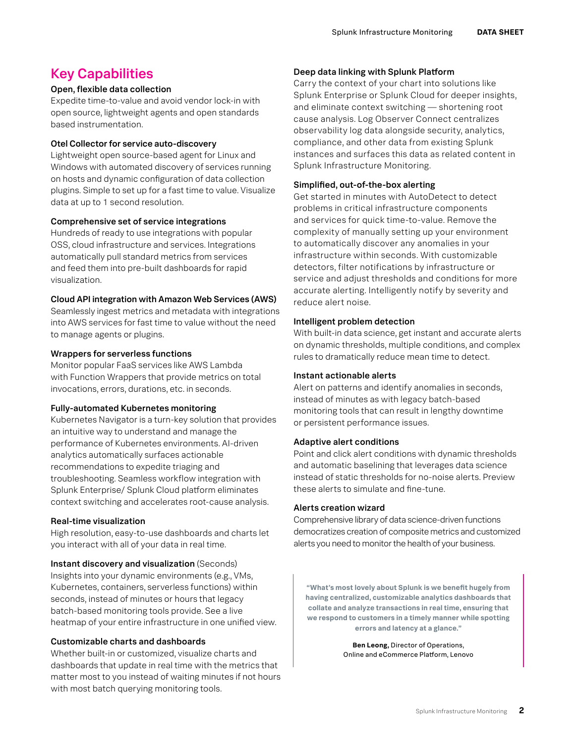# Key Capabilities

# Open, flexible data collection

Expedite time-to-value and avoid vendor lock-in with open source, lightweight agents and open standards based instrumentation.

#### Otel Collector for service auto-discovery

Lightweight open source-based agent for Linux and Windows with automated discovery of services running on hosts and dynamic configuration of data collection plugins. Simple to set up for a fast time to value. Visualize data at up to 1 second resolution.

# Comprehensive set of service integrations

Hundreds of ready to use integrations with popular OSS, cloud infrastructure and services. Integrations automatically pull standard metrics from services and feed them into pre-built dashboards for rapid visualization.

# Cloud API integration with Amazon Web Services (AWS)

Seamlessly ingest metrics and metadata with integrations into AWS services for fast time to value without the need to manage agents or plugins.

# Wrappers for serverless functions

Monitor popular FaaS services like AWS Lambda with Function Wrappers that provide metrics on total invocations, errors, durations, etc. in seconds.

# Fully-automated Kubernetes monitoring

Kubernetes Navigator is a turn-key solution that provides an intuitive way to understand and manage the performance of Kubernetes environments. AI-driven analytics automatically surfaces actionable recommendations to expedite triaging and troubleshooting. Seamless workflow integration with Splunk Enterprise/ Splunk Cloud platform eliminates context switching and accelerates root-cause analysis.

# Real-time visualization

High resolution, easy-to-use dashboards and charts let you interact with all of your data in real time.

Instant discovery and visualization (Seconds) Insights into your dynamic environments (e.g., VMs, Kubernetes, containers, serverless functions) within seconds, instead of minutes or hours that legacy batch-based monitoring tools provide. See a live heatmap of your entire infrastructure in one unified view.

# Customizable charts and dashboards

Whether built-in or customized, visualize charts and dashboards that update in real time with the metrics that matter most to you instead of waiting minutes if not hours with most batch querying monitoring tools.

# Deep data linking with Splunk Platform

Carry the context of your chart into solutions like Splunk Enterprise or Splunk Cloud for deeper insights, and eliminate context switching — shortening root cause analysis. Log Observer Connect centralizes observability log data alongside security, analytics, compliance, and other data from existing Splunk instances and surfaces this data as related content in Splunk Infrastructure Monitoring.

# Simplified, out-of-the-box alerting

Get started in minutes with AutoDetect to detect problems in critical infrastructure components and services for quick time-to-value. Remove the complexity of manually setting up your environment to automatically discover any anomalies in your infrastructure within seconds. With customizable detectors, filter notifications by infrastructure or service and adjust thresholds and conditions for more accurate alerting. Intelligently notify by severity and reduce alert noise.

#### Intelligent problem detection

With built-in data science, get instant and accurate alerts on dynamic thresholds, multiple conditions, and complex rules to dramatically reduce mean time to detect.

#### Instant actionable alerts

Alert on patterns and identify anomalies in seconds, instead of minutes as with legacy batch-based monitoring tools that can result in lengthy downtime or persistent performance issues.

# Adaptive alert conditions

Point and click alert conditions with dynamic thresholds and automatic baselining that leverages data science instead of static thresholds for no-noise alerts. Preview these alerts to simulate and fine-tune.

# Alerts creation wizard

Comprehensive library of data science-driven functions democratizes creation of composite metrics and customized alerts you need to monitor the health of your business.

**"What's most lovely about Splunk is we benefit hugely from having centralized, customizable analytics dashboards that collate and analyze transactions in real time, ensuring that we respond to customers in a timely manner while spotting errors and latency at a glance."** 

> **Ben Leong,** Director of Operations, Online and eCommerce Platform, Lenovo